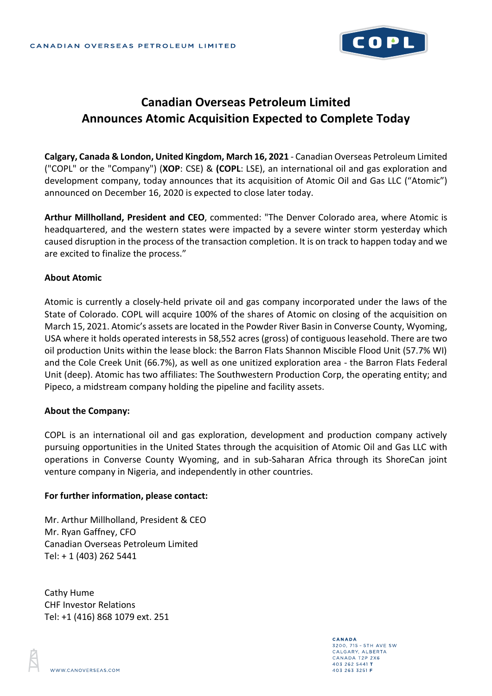

# **Canadian Overseas Petroleum Limited Announces Atomic Acquisition Expected to Complete Today**

**Calgary, Canada & London, United Kingdom, March 16, 2021** - Canadian Overseas Petroleum Limited ("COPL" or the "Company") (**XOP**: CSE) & **(COPL**: LSE), an international oil and gas exploration and development company, today announces that its acquisition of Atomic Oil and Gas LLC ("Atomic") announced on December 16, 2020 is expected to close later today.

**Arthur Millholland, President and CEO**, commented: "The Denver Colorado area, where Atomic is headquartered, and the western states were impacted by a severe winter storm yesterday which caused disruption in the process of the transaction completion. It is on track to happen today and we are excited to finalize the process."

#### **About Atomic**

Atomic is currently a closely-held private oil and gas company incorporated under the laws of the State of Colorado. COPL will acquire 100% of the shares of Atomic on closing of the acquisition on March 15, 2021. Atomic's assets are located in the Powder River Basin in Converse County, Wyoming, USA where it holds operated interests in 58,552 acres (gross) of contiguous leasehold. There are two oil production Units within the lease block: the Barron Flats Shannon Miscible Flood Unit (57.7% WI) and the Cole Creek Unit (66.7%), as well as one unitized exploration area - the Barron Flats Federal Unit (deep). Atomic has two affiliates: The Southwestern Production Corp, the operating entity; and Pipeco, a midstream company holding the pipeline and facility assets.

#### **About the Company:**

COPL is an international oil and gas exploration, development and production company actively pursuing opportunities in the United States through the acquisition of Atomic Oil and Gas LLC with operations in Converse County Wyoming, and in sub-Saharan Africa through its ShoreCan joint venture company in Nigeria, and independently in other countries.

#### **For further information, please contact:**

Mr. Arthur Millholland, President & CEO Mr. Ryan Gaffney, CFO Canadian Overseas Petroleum Limited Tel: + 1 (403) 262 5441

Cathy Hume CHF Investor Relations Tel: +1 (416) 868 1079 ext. 251